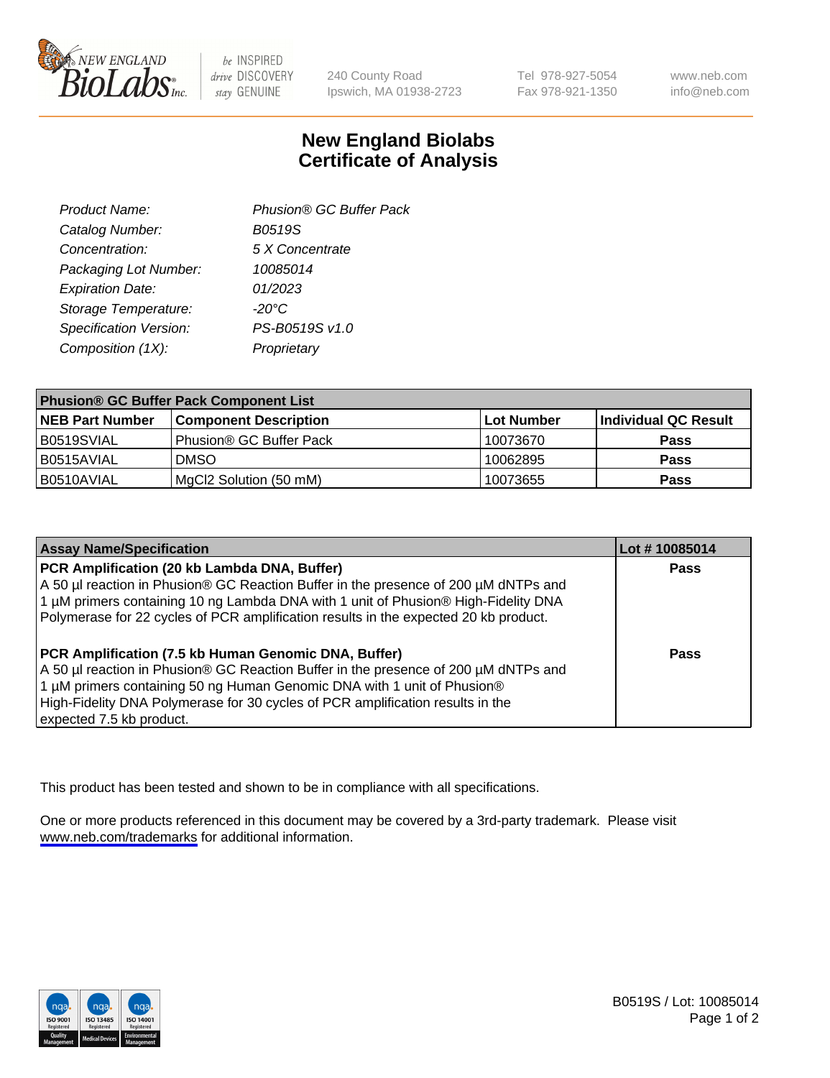

be INSPIRED drive DISCOVERY stay GENUINE

240 County Road Ipswich, MA 01938-2723 Tel 978-927-5054 Fax 978-921-1350

www.neb.com info@neb.com

## **New England Biolabs Certificate of Analysis**

| Product Name:           | Phusion® GC Buffer Pack |
|-------------------------|-------------------------|
| Catalog Number:         | B0519S                  |
| Concentration:          | 5 X Concentrate         |
| Packaging Lot Number:   | 10085014                |
| <b>Expiration Date:</b> | 01/2023                 |
| Storage Temperature:    | $-20^{\circ}$ C         |
| Specification Version:  | PS-B0519S v1.0          |
| Composition (1X):       | Proprietary             |
|                         |                         |

| <b>Phusion® GC Buffer Pack Component List</b> |                              |             |                      |  |
|-----------------------------------------------|------------------------------|-------------|----------------------|--|
| <b>NEB Part Number</b>                        | <b>Component Description</b> | ∣Lot Number | Individual QC Result |  |
| B0519SVIAL                                    | Phusion® GC Buffer Pack      | 10073670    | <b>Pass</b>          |  |
| B0515AVIAL                                    | <b>DMSO</b>                  | 10062895    | <b>Pass</b>          |  |
| B0510AVIAL                                    | MgCl2 Solution (50 mM)       | 10073655    | <b>Pass</b>          |  |

| <b>Assay Name/Specification</b>                                                                                                                                                                                                                                                                                                      | Lot #10085014 |
|--------------------------------------------------------------------------------------------------------------------------------------------------------------------------------------------------------------------------------------------------------------------------------------------------------------------------------------|---------------|
| PCR Amplification (20 kb Lambda DNA, Buffer)<br>A 50 µl reaction in Phusion® GC Reaction Buffer in the presence of 200 µM dNTPs and<br>1 μM primers containing 10 ng Lambda DNA with 1 unit of Phusion® High-Fidelity DNA<br>Polymerase for 22 cycles of PCR amplification results in the expected 20 kb product.                    | <b>Pass</b>   |
| PCR Amplification (7.5 kb Human Genomic DNA, Buffer)<br>A 50 µl reaction in Phusion® GC Reaction Buffer in the presence of 200 µM dNTPs and<br>1 µM primers containing 50 ng Human Genomic DNA with 1 unit of Phusion®<br>High-Fidelity DNA Polymerase for 30 cycles of PCR amplification results in the<br>expected 7.5 kb product. | <b>Pass</b>   |

This product has been tested and shown to be in compliance with all specifications.

One or more products referenced in this document may be covered by a 3rd-party trademark. Please visit <www.neb.com/trademarks>for additional information.